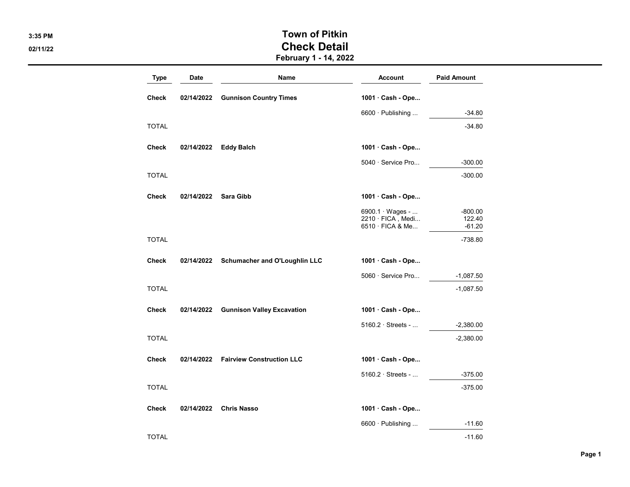## 3:35 PM Town of Pitkin 02/11/22 Check Detail

February 1 - 14, 2022

| <b>Type</b>  | <b>Date</b> | Name                              | <b>Account</b>                                                   | <b>Paid Amount</b>              |
|--------------|-------------|-----------------------------------|------------------------------------------------------------------|---------------------------------|
| <b>Check</b> | 02/14/2022  | <b>Gunnison Country Times</b>     | 1001 · Cash - Ope                                                |                                 |
|              |             |                                   | 6600 · Publishing                                                | $-34.80$                        |
| <b>TOTAL</b> |             |                                   |                                                                  | $-34.80$                        |
| Check        | 02/14/2022  | <b>Eddy Balch</b>                 | 1001 · Cash - Ope                                                |                                 |
|              |             |                                   | $5040 \cdot$ Service Pro                                         | $-300.00$                       |
| <b>TOTAL</b> |             |                                   |                                                                  | $-300.00$                       |
| <b>Check</b> | 02/14/2022  | Sara Gibb                         | 1001 · Cash - Ope                                                |                                 |
|              |             |                                   | $6900.1 \cdot Wages - $<br>2210 · FICA, Medi<br>6510 · FICA & Me | $-800.00$<br>122.40<br>$-61.20$ |
| <b>TOTAL</b> |             |                                   |                                                                  | $-738.80$                       |
| <b>Check</b> | 02/14/2022  | Schumacher and O'Loughlin LLC     | 1001 · Cash - Ope                                                |                                 |
|              |             |                                   | 5060 · Service Pro                                               | $-1,087.50$                     |
| <b>TOTAL</b> |             |                                   |                                                                  | $-1,087.50$                     |
| <b>Check</b> | 02/14/2022  | <b>Gunnison Valley Excavation</b> | 1001 · Cash - Ope                                                |                                 |
|              |             |                                   | $5160.2 \cdot$ Streets -                                         | $-2,380.00$                     |
| <b>TOTAL</b> |             |                                   |                                                                  | $-2,380.00$                     |
| <b>Check</b> | 02/14/2022  | <b>Fairview Construction LLC</b>  | 1001 · Cash - Ope                                                |                                 |
|              |             |                                   | $5160.2 \cdot$ Streets -                                         | $-375.00$                       |
| <b>TOTAL</b> |             |                                   |                                                                  | $-375.00$                       |
| <b>Check</b> | 02/14/2022  | <b>Chris Nasso</b>                | 1001 · Cash - Ope                                                |                                 |
|              |             |                                   | $6600 \cdot$ Publishing                                          | $-11.60$                        |
| <b>TOTAL</b> |             |                                   |                                                                  | $-11.60$                        |